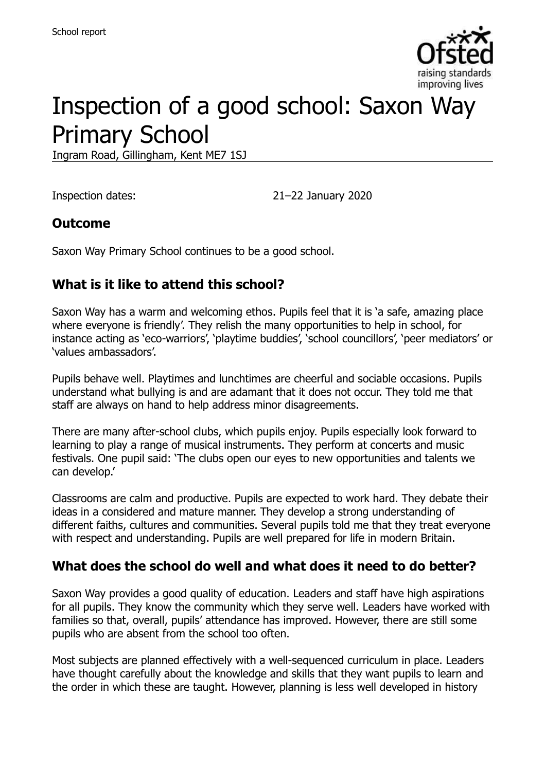

# Inspection of a good school: Saxon Way Primary School

Ingram Road, Gillingham, Kent ME7 1SJ

Inspection dates: 21–22 January 2020

### **Outcome**

Saxon Way Primary School continues to be a good school.

## **What is it like to attend this school?**

Saxon Way has a warm and welcoming ethos. Pupils feel that it is 'a safe, amazing place where everyone is friendly'. They relish the many opportunities to help in school, for instance acting as 'eco-warriors', 'playtime buddies', 'school councillors', 'peer mediators' or 'values ambassadors'.

Pupils behave well. Playtimes and lunchtimes are cheerful and sociable occasions. Pupils understand what bullying is and are adamant that it does not occur. They told me that staff are always on hand to help address minor disagreements.

There are many after-school clubs, which pupils enjoy. Pupils especially look forward to learning to play a range of musical instruments. They perform at concerts and music festivals. One pupil said: 'The clubs open our eyes to new opportunities and talents we can develop.'

Classrooms are calm and productive. Pupils are expected to work hard. They debate their ideas in a considered and mature manner. They develop a strong understanding of different faiths, cultures and communities. Several pupils told me that they treat everyone with respect and understanding. Pupils are well prepared for life in modern Britain.

### **What does the school do well and what does it need to do better?**

Saxon Way provides a good quality of education. Leaders and staff have high aspirations for all pupils. They know the community which they serve well. Leaders have worked with families so that, overall, pupils' attendance has improved. However, there are still some pupils who are absent from the school too often.

Most subjects are planned effectively with a well-sequenced curriculum in place. Leaders have thought carefully about the knowledge and skills that they want pupils to learn and the order in which these are taught. However, planning is less well developed in history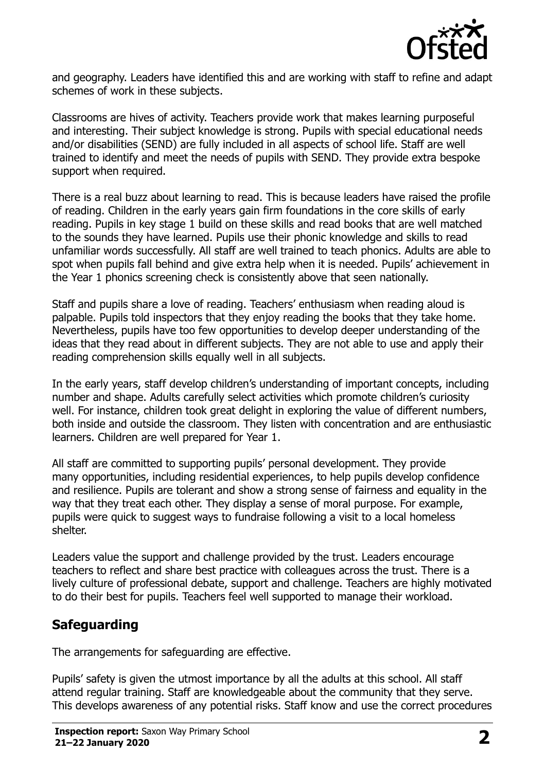

and geography. Leaders have identified this and are working with staff to refine and adapt schemes of work in these subjects.

Classrooms are hives of activity. Teachers provide work that makes learning purposeful and interesting. Their subject knowledge is strong. Pupils with special educational needs and/or disabilities (SEND) are fully included in all aspects of school life. Staff are well trained to identify and meet the needs of pupils with SEND. They provide extra bespoke support when required.

There is a real buzz about learning to read. This is because leaders have raised the profile of reading. Children in the early years gain firm foundations in the core skills of early reading. Pupils in key stage 1 build on these skills and read books that are well matched to the sounds they have learned. Pupils use their phonic knowledge and skills to read unfamiliar words successfully. All staff are well trained to teach phonics. Adults are able to spot when pupils fall behind and give extra help when it is needed. Pupils' achievement in the Year 1 phonics screening check is consistently above that seen nationally.

Staff and pupils share a love of reading. Teachers' enthusiasm when reading aloud is palpable. Pupils told inspectors that they enjoy reading the books that they take home. Nevertheless, pupils have too few opportunities to develop deeper understanding of the ideas that they read about in different subjects. They are not able to use and apply their reading comprehension skills equally well in all subjects.

In the early years, staff develop children's understanding of important concepts, including number and shape. Adults carefully select activities which promote children's curiosity well. For instance, children took great delight in exploring the value of different numbers, both inside and outside the classroom. They listen with concentration and are enthusiastic learners. Children are well prepared for Year 1.

All staff are committed to supporting pupils' personal development. They provide many opportunities, including residential experiences, to help pupils develop confidence and resilience. Pupils are tolerant and show a strong sense of fairness and equality in the way that they treat each other. They display a sense of moral purpose. For example, pupils were quick to suggest ways to fundraise following a visit to a local homeless shelter.

Leaders value the support and challenge provided by the trust. Leaders encourage teachers to reflect and share best practice with colleagues across the trust. There is a lively culture of professional debate, support and challenge. Teachers are highly motivated to do their best for pupils. Teachers feel well supported to manage their workload.

## **Safeguarding**

The arrangements for safeguarding are effective.

Pupils' safety is given the utmost importance by all the adults at this school. All staff attend regular training. Staff are knowledgeable about the community that they serve. This develops awareness of any potential risks. Staff know and use the correct procedures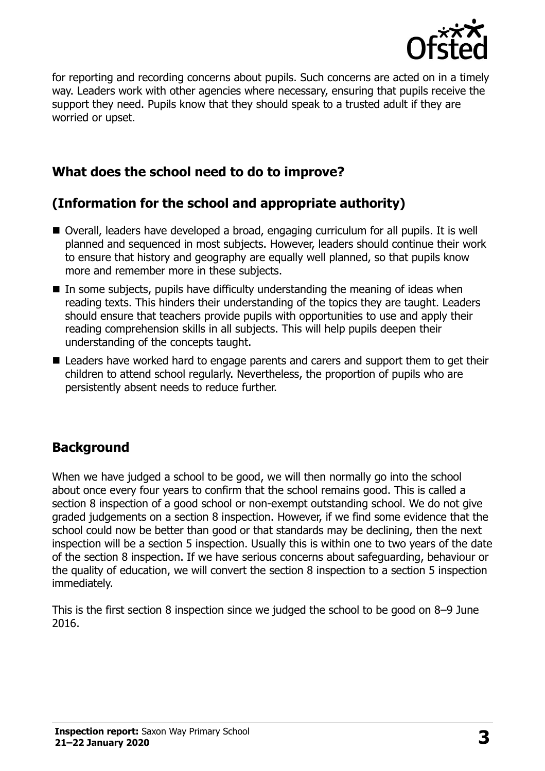

for reporting and recording concerns about pupils. Such concerns are acted on in a timely way. Leaders work with other agencies where necessary, ensuring that pupils receive the support they need. Pupils know that they should speak to a trusted adult if they are worried or upset.

## **What does the school need to do to improve?**

## **(Information for the school and appropriate authority)**

- Overall, leaders have developed a broad, engaging curriculum for all pupils. It is well planned and sequenced in most subjects. However, leaders should continue their work to ensure that history and geography are equally well planned, so that pupils know more and remember more in these subjects.
- $\blacksquare$  In some subjects, pupils have difficulty understanding the meaning of ideas when reading texts. This hinders their understanding of the topics they are taught. Leaders should ensure that teachers provide pupils with opportunities to use and apply their reading comprehension skills in all subjects. This will help pupils deepen their understanding of the concepts taught.
- Leaders have worked hard to engage parents and carers and support them to get their children to attend school regularly. Nevertheless, the proportion of pupils who are persistently absent needs to reduce further.

### **Background**

When we have judged a school to be good, we will then normally go into the school about once every four years to confirm that the school remains good. This is called a section 8 inspection of a good school or non-exempt outstanding school. We do not give graded judgements on a section 8 inspection. However, if we find some evidence that the school could now be better than good or that standards may be declining, then the next inspection will be a section 5 inspection. Usually this is within one to two years of the date of the section 8 inspection. If we have serious concerns about safeguarding, behaviour or the quality of education, we will convert the section 8 inspection to a section 5 inspection immediately.

This is the first section 8 inspection since we judged the school to be good on 8–9 June 2016.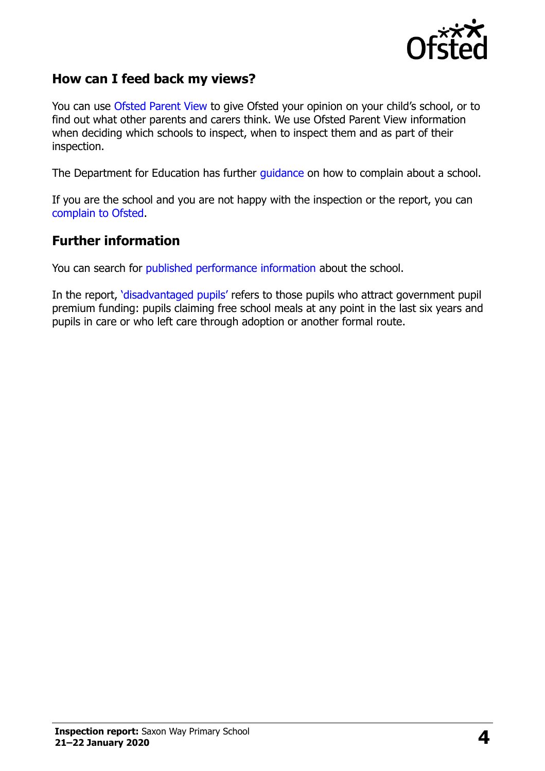

### **How can I feed back my views?**

You can use [Ofsted Parent View](https://parentview.ofsted.gov.uk/) to give Ofsted your opinion on your child's school, or to find out what other parents and carers think. We use Ofsted Parent View information when deciding which schools to inspect, when to inspect them and as part of their inspection.

The Department for Education has further [guidance](http://www.gov.uk/complain-about-school) on how to complain about a school.

If you are the school and you are not happy with the inspection or the report, you can [complain to Ofsted.](https://www.gov.uk/complain-ofsted-report)

#### **Further information**

You can search for [published performance information](http://www.compare-school-performance.service.gov.uk/) about the school.

In the report, '[disadvantaged pupils](http://www.gov.uk/guidance/pupil-premium-information-for-schools-and-alternative-provision-settings)' refers to those pupils who attract government pupil premium funding: pupils claiming free school meals at any point in the last six years and pupils in care or who left care through adoption or another formal route.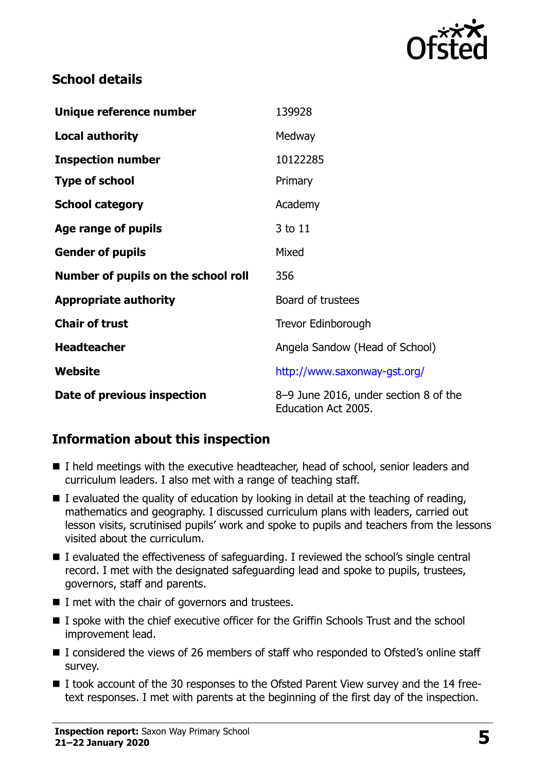

## **School details**

| Unique reference number             | 139928                                                       |
|-------------------------------------|--------------------------------------------------------------|
| <b>Local authority</b>              | Medway                                                       |
| <b>Inspection number</b>            | 10122285                                                     |
| <b>Type of school</b>               | Primary                                                      |
| <b>School category</b>              | Academy                                                      |
| Age range of pupils                 | 3 to 11                                                      |
| <b>Gender of pupils</b>             | Mixed                                                        |
| Number of pupils on the school roll | 356                                                          |
| <b>Appropriate authority</b>        | Board of trustees                                            |
| <b>Chair of trust</b>               | Trevor Edinborough                                           |
| <b>Headteacher</b>                  | Angela Sandow (Head of School)                               |
| Website                             | http://www.saxonway-gst.org/                                 |
| Date of previous inspection         | 8–9 June 2016, under section 8 of the<br>Education Act 2005. |

### **Information about this inspection**

- I held meetings with the executive headteacher, head of school, senior leaders and curriculum leaders. I also met with a range of teaching staff.
- I evaluated the quality of education by looking in detail at the teaching of reading, mathematics and geography. I discussed curriculum plans with leaders, carried out lesson visits, scrutinised pupils' work and spoke to pupils and teachers from the lessons visited about the curriculum.
- I evaluated the effectiveness of safeguarding. I reviewed the school's single central record. I met with the designated safeguarding lead and spoke to pupils, trustees, governors, staff and parents.
- $\blacksquare$  I met with the chair of governors and trustees.
- I spoke with the chief executive officer for the Griffin Schools Trust and the school improvement lead.
- I considered the views of 26 members of staff who responded to Ofsted's online staff survey.
- I took account of the 30 responses to the Ofsted Parent View survey and the 14 freetext responses. I met with parents at the beginning of the first day of the inspection.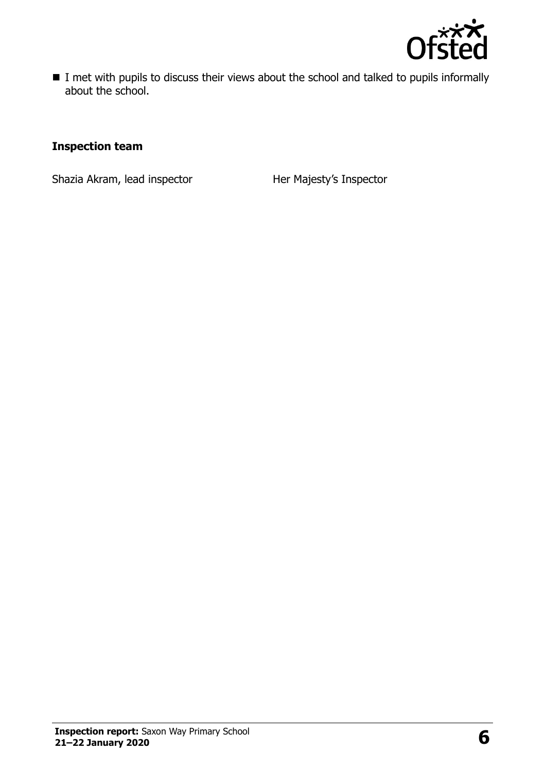

I met with pupils to discuss their views about the school and talked to pupils informally about the school.

#### **Inspection team**

Shazia Akram, lead inspector **Her Majesty's Inspector**